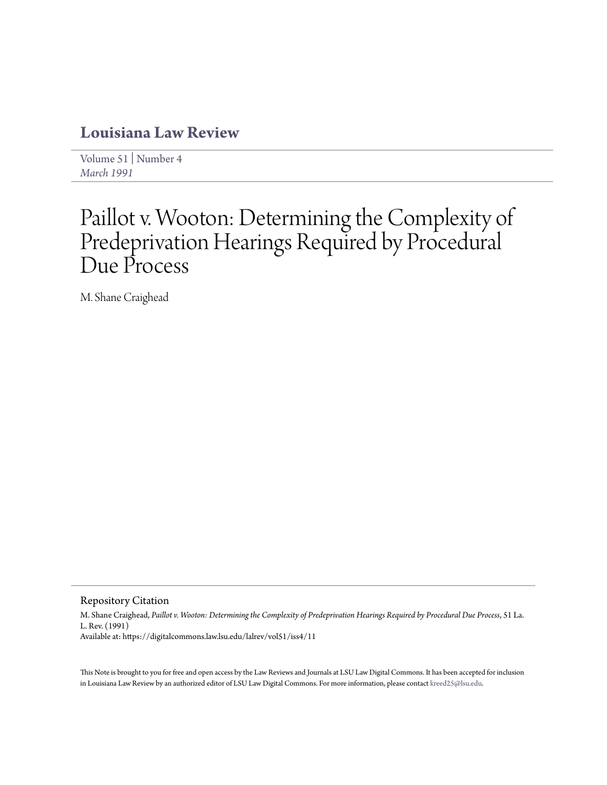# **[Louisiana Law Review](https://digitalcommons.law.lsu.edu/lalrev)**

[Volume 51](https://digitalcommons.law.lsu.edu/lalrev/vol51) | [Number 4](https://digitalcommons.law.lsu.edu/lalrev/vol51/iss4) *[March 1991](https://digitalcommons.law.lsu.edu/lalrev/vol51/iss4)*

# Paillot v. Wooton: Determining the Complexity of Predeprivation Hearings Required by Procedural Due Process

M. Shane Craighead

Repository Citation

M. Shane Craighead, *Paillot v. Wooton: Determining the Complexity of Predeprivation Hearings Required by Procedural Due Process*, 51 La. L. Rev. (1991) Available at: https://digitalcommons.law.lsu.edu/lalrev/vol51/iss4/11

This Note is brought to you for free and open access by the Law Reviews and Journals at LSU Law Digital Commons. It has been accepted for inclusion in Louisiana Law Review by an authorized editor of LSU Law Digital Commons. For more information, please contact [kreed25@lsu.edu](mailto:kreed25@lsu.edu).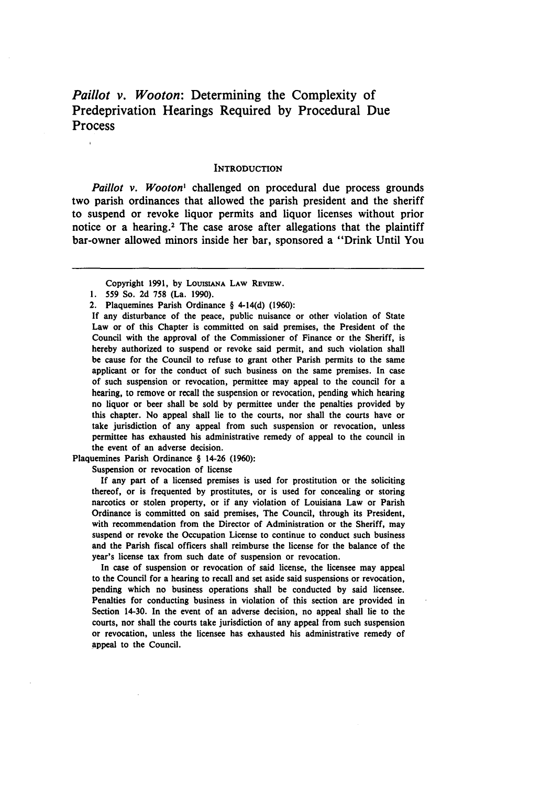*Paillot v. Wooton:* Determining the Complexity of Predeprivation Hearings Required **by** Procedural Due Process

#### **INTRODUCTION**

*Paillot v. Wooton'* challenged on procedural due process grounds two parish ordinances that allowed the parish president and the sheriff to suspend or revoke liquor permits and liquor licenses without prior notice or a hearing.2 The case arose after allegations that the plaintiff bar-owner allowed minors inside her bar, sponsored a "Drink Until You

Copyright **1991, by LOUISIANA** LAW **REVIEW.**

- **1. 559** So. **2d 758 (La. 1990).**
- 2. Plaquemines Parish Ordinance § 4-14(d) **(1960):**

If any disturbance of the peace, public nuisance or other violation of State Law or of this Chapter is committed on said premises, the President of the Council with the approval of the Commissioner of Finance or the Sheriff, is hereby authorized to suspend or revoke said permit, and such violation shall be cause for the Council to refuse to grant other Parish permits to the same applicant or for the conduct of such business on the same premises. In case of such suspension or revocation, permittee may appeal to the council for a hearing, to remove or recall the suspension or revocation, pending which hearing no liquor or beer shall be sold **by** permittee under the penalties provided **by** this chapter. No appeal shall lie to the courts, nor shall the courts have or take jurisdiction of any appeal from such suspension or revocation, unless permittee has exhausted his administrative remedy of appeal to the council in the event of an adverse decision.

Plaquemines Parish Ordinance § 14-26 **(1960):**

Suspension or revocation of license

**If** any part of a licensed premises is used for prostitution or the soliciting thereof, or is frequented **by** prostitutes, or is used for concealing or storing narcotics or stolen property, or if any violation of Louisiana Law or Parish Ordinance is committed on said premises, The Council, through its President, with recommendation from the Director of Administration or the Sheriff, may suspend or revoke the Occupation License to continue to conduct such business and the Parish fiscal officers shall reimburse the license for the balance of the year's license tax from such date of suspension or revocation.

In case of suspension or revocation of said license, the licensee may appeal to the Council for a hearing to recall and set aside said suspensions or revocation, pending which no business operations shall be conducted **by** said licensee. Penalties for conducting business in violation of this section are provided in Section 14-30. In the event of an adverse decision, no appeal shall lie to the courts, nor shall the courts take jurisdiction of any appeal from such suspension or revocation, unless the licensee has exhausted his administrative remedy of appeal to the Council.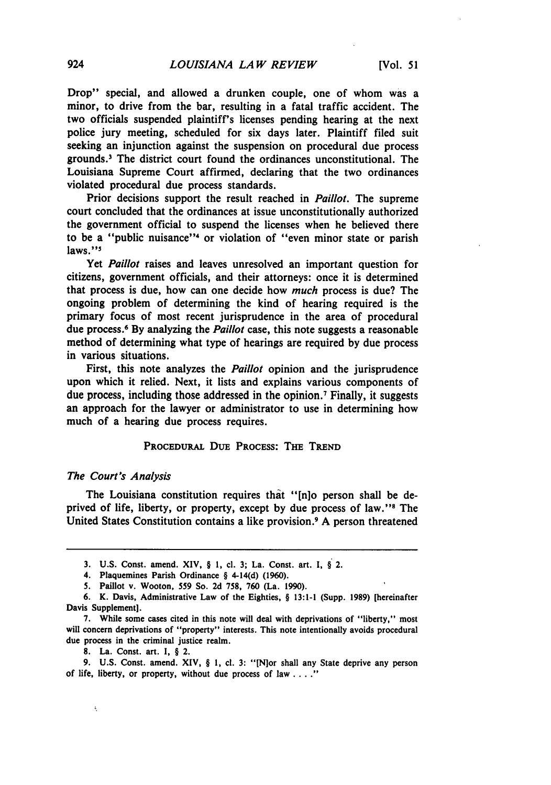Drop" special, and allowed a drunken couple, one of whom was a minor, to drive from the bar, resulting in a fatal traffic accident. The two officials suspended plaintiff's licenses pending hearing at the next police jury meeting, scheduled for six days later. Plaintiff filed suit seeking an injunction against the suspension on procedural due process grounds.3 The district court found the ordinances unconstitutional. The Louisiana Supreme Court affirmed, declaring that the two ordinances violated procedural due process standards.

Prior decisions support the result reached in *Paillot.* The supreme court concluded that the ordinances at issue unconstitutionally authorized the government official to suspend the licenses when he believed there to be a "public nuisance"<sup>4</sup> or violation of "even minor state or parish laws."<sup>5</sup>

Yet *Paillot* raises and leaves unresolved an important question for citizens, government officials, and their attorneys: once it is determined that process is due, how can one decide how *much* process is due? The ongoing problem of determining the kind of hearing required is the primary focus of most recent jurisprudence in the area of procedural due process.6 **By** analyzing the *Paillot* case, this note suggests a reasonable method of determining what type of hearings are required **by** due process in various situations.

First, this note analyzes the *Paillot* opinion and the jurisprudence upon which it relied. Next, it lists and explains various components of due process, including those addressed in the opinion. 7 Finally, it suggests an approach for the lawyer or administrator to use in determining how much of a hearing due process requires.

## PROCEDURAL DUE **PROCESS:** THE **TREND**

#### The Court's *Analysis*

The Louisiana constitution requires that "[n]o person shall be deprived of life, liberty, or property, except **by** due process of law." ' The United States Constitution contains a like provision.9 **A** person threatened

ţ

**<sup>3.</sup> U.S.** Const. amend. XIV, § **1, cl. 3;** La. Const. art. **I,** § 2.

<sup>4.</sup> Plaquemines Parish Ordinance § 4-14(d) **(1960).**

**<sup>5.</sup>** Paillot v. Wooton, **559** So. **2d 758, 760** (La. **1990).**

**<sup>6.</sup>** K. Davis, Administrative Law of the Eighties, § **13:1-I** (Supp. **1989)** [hereinafter Davis Supplement].

**<sup>7.</sup>** While some cases cited in this note will deal with deprivations of "liberty," most will concern deprivations of "property" interests. This note intentionally avoids procedural due process in the criminal justice realm.

**<sup>8.</sup>** La. Const. art. **I,** § 2.

**<sup>9.</sup> U.S.** Const. amend. XIV, § **1, cl. 3:** "[N~or shall any State deprive any person of life, liberty, or property, without due process of law **...."**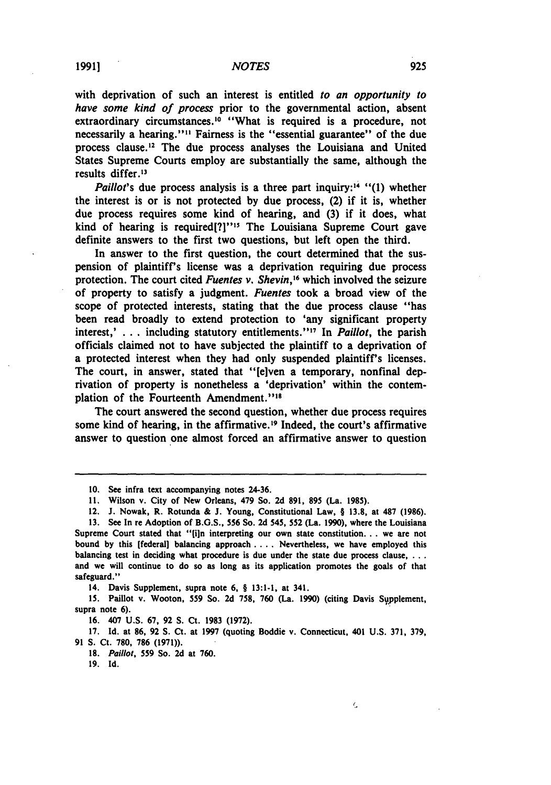with deprivation of such an interest is entitled *to an opportunity to have some kind of process* prior to the governmental action, absent extraordinary circumstances.<sup>10</sup> "What is required is a procedure, not necessarily a hearing."" Fairness is the "essential guarantee" of the due process clause." The due process analyses the Louisiana and United States Supreme Courts employ are substantially the same, although the results differ.'<sup>3</sup>

*Paillot's* due process analysis is a three part inquiry:<sup>14</sup> "(1) whether the interest is or is not protected **by** due process, (2) if it is, whether due process requires some kind of hearing, and **(3)** if it does, what kind of hearing is required<sup>[?]""</sup> The Louisiana Supreme Court gave definite answers to the first two questions, but left open the third.

In answer to the first question, the court determined that the suspension of plaintiff's license was a deprivation requiring due process protection. The court cited *Fuentes v. Shevin*,<sup>16</sup> which involved the seizure of property to satisfy a judgment. *Fuentes* took a broad view of the scope of protected interests, stating that the due process clause "has been read broadly to extend protection to 'any significant property interest,' **. . .** including statutory entitlements."' 7 In *Paillot,* the parish officials claimed not to have subjected the plaintiff to a deprivation of a protected interest when they had only suspended plaintiff's licenses. The court, in answer, stated that "[elven a temporary, nonfinal deprivation of property is nonetheless a 'deprivation' within the contemplation of the Fourteenth Amendment."<sup>18</sup>

The court answered the second question, whether due process requires some kind of hearing, in the affirmative.<sup>19</sup> Indeed, the court's affirmative answer to question one almost forced an affirmative answer to question

14. Davis Supplement, supra note **6, § 13:1-1,** at 341.

**15.** Paillot v. Wooton, 559 So. **2d 758, 760** (La. **1990)** (citing Davis Syupplement, supra note **6).**

**16.** 407 **U.S. 67, 92 S.** Ct. **1983 (1972).**

**17. Id.** at *86,* **92 S.** Ct. at **1997** (quoting Boddie v. Connecticut, 401 **U.S. 371, 379, 91 S.** Ct. **780, 786 (1971)).**

*18.* Paillot, 559 So. **2d** at **760.**

**19. Id.**

**<sup>10.</sup>** See infra text accompanying notes 24-36.

*<sup>11,</sup>* Wilson v. City of New Orleans, 479 So. **2d 891, 895** (La. **1985).**

<sup>12.</sup> **J.** Nowak, R. Rotunda **& J.** Young, Constitutional Law, § **13.8,** at **487 (1986).**

**<sup>13.</sup>** See In re Adoption of **B.G.S., 556** So. **2d** 545, **552** (La. **1990),** where the Louisiana Supreme Court stated that **"[in** interpreting our own state constitution... we are not bound **by** this [federal] balancing approach .... Nevertheless, we have employed this balancing test in deciding what procedure is due under the state due process clause, **...** and we will continue to do so as long as its application promotes the goals of that safeguard."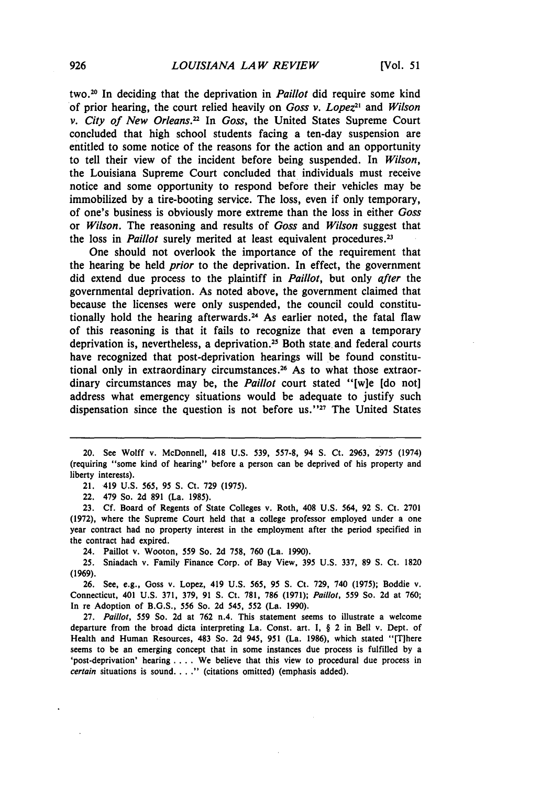two.20 In deciding that the deprivation in Paillot did require some kind of prior hearing, the court relied heavily on *Goss v. Lopez"* and *Wilson v. City of New Orleans.*<sup>22</sup> In *Goss*, the United States Supreme Court concluded that high school students facing a ten-day suspension are entitled to some notice of the reasons for the action and an opportunity to tell their view of the incident before being suspended. In *Wilson,* the Louisiana Supreme Court concluded that individuals must receive notice and some opportunity to respond before their vehicles may be immobilized by a tire-booting service. The loss, even if only temporary, of one's business is obviously more extreme than the loss in either *Goss* or *Wilson.* The reasoning and results of *Goss* and *Wilson* suggest that the loss in *Paillot* surely merited at least equivalent procedures.<sup>23</sup>

One should not overlook the importance of the requirement that the hearing be held *prior* to the deprivation. In effect, the government did extend due process to the plaintiff in *Paillot,* but only *after* the governmental deprivation. As noted above, the government claimed that because the licenses were only suspended, the council could constitutionally hold the hearing afterwards.<sup>24</sup> As earlier noted, the fatal flaw of this reasoning is that it fails to recognize that even a temporary deprivation is, nevertheless, a deprivation.25 Both state and federal courts have recognized that post-deprivation hearings will be found constitutional only in extraordinary circumstances.<sup>26</sup> As to what those extraordinary circumstances may be, the *Paillot* court stated "[w]e [do not] address what emergency situations would be adequate to justify such dispensation since the question is not before us."<sup>27</sup> The United States

22. 479 So. 2d 891 (La. 1985).

23. Cf. Board of Regents of State Colleges v. Roth, 408 U.S. 564, 92 **S.** Ct. 2701 (1972), where the Supreme Court held that a college professor employed under a one year contract had no property interest in the employment after the period specified in the contract had expired.

24. Paillot v. Wooton, 559 So. 2d 758, 760 (La. 1990).

25. Sniadach v. Family Finance Corp. of Bay View, 395 U.S. 337, 89 **S.** Ct. 1820 (1969).

26. See, e.g., Goss v. Lopez, 419 U.S. 565, 95 **S.** Ct. 729, 740 (1975); Boddie v. Connecticut, 401 U.S. 371, 379, 91 **S.** Ct. 781, 786 (1971); Paillot, 559 So. 2d at 760; In re Adoption of B.G.S., 556 So. 2d 545, 552 (La. 1990).

27. Paillot, 559 So. 2d at 762 n.4. This statement seems to illustrate a welcome departure from the broad dicta interpreting La. Const. art. I, § 2 in Bell v. Dept. of Health and Human Resources, 483 So. 2d 945, 951 (La. 1986), which stated "[There seems to be an emerging concept that in some instances due process is fulfilled by a 'post-deprivation' hearing **....** We believe that this view to procedural due process in certain situations is sound. . . ." (citations omitted) (emphasis added).

<sup>20.</sup> See Wolff v. McDonnell, 418 U.S. 539, 557-8, 94 S. Ct. 2963, 2975 (1974) (requiring "some kind of hearing" before a person can be deprived of his property and liberty interests).

<sup>21. 419</sup> U.S. 565, 95 **S.** Ct. 729 (1975).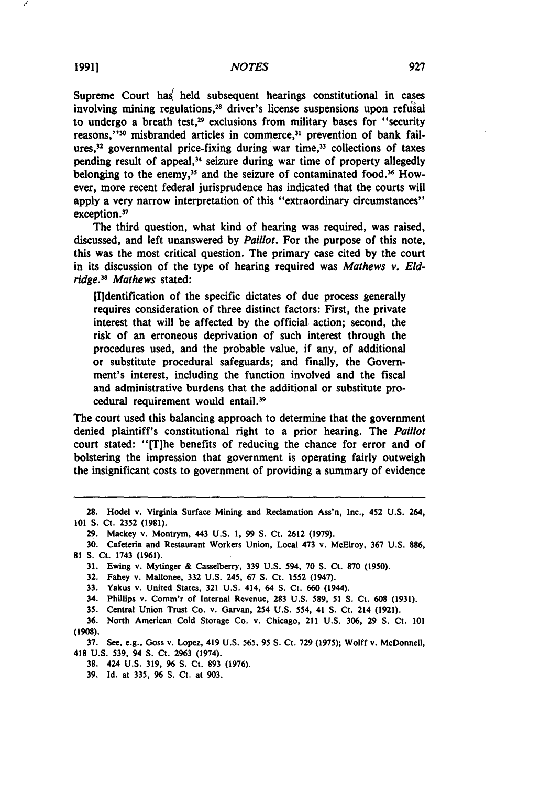Supreme Court has held subsequent hearings constitutional in cases involving mining regulations,<sup>28</sup> driver's license suspensions upon refusal to undergo a breath test,<sup>29</sup> exclusions from military bases for "security reasons,"<sup>30</sup> misbranded articles in commerce,<sup>31</sup> prevention of bank failures, $32$  governmental price-fixing during war time, $33$  collections of taxes pending result of appeal,<sup>34</sup> seizure during war time of property allegedly belonging to the enemy,<sup>35</sup> and the seizure of contaminated food.<sup>36</sup> However, more recent federal jurisprudence has indicated that the courts will apply a very narrow interpretation of this "extraordinary circumstances" exception.<sup>37</sup>

The third question, what kind of hearing was required, was raised, discussed, and left unanswered **by** Paillot. For the purpose of this note, this was the most critical question. The primary case cited **by** the court in its discussion of the type of hearing required was *Mathews v. Eld*ridge.<sup>38</sup> Mathews stated:

[Ildentification of the specific dictates of due process generally requires consideration of three distinct factors: First, the private interest that will be affected **by** the official action; second, the risk of an erroneous deprivation of such interest through the procedures used, and the probable value, if any, of additional or substitute procedural safeguards; and finally, the Government's interest, including the function involved and the fiscal and administrative burdens that the additional or substitute procedural requirement would entail.<sup>39</sup>

The court used this balancing approach to determine that the government denied plaintiff's constitutional right to a prior hearing. The *Paillot* court stated: "[T]he benefits of reducing the chance for error and of bolstering the impression that government is operating fairly outweigh the insignificant costs to government of providing a summary of evidence

29. Mackey v. Montrym, 443 **U.S. 1, 99 S.** Ct. **2612 (1979).**

**31.** Ewing v. Mytinger **&** Casselberry, **339 U.S.** 594, **70 S.** Ct. **870 (1950).**

**32.** Fahey v. Mallonee, **332 U.S.** 245, **67 S.** Ct. 1552 (1947).

**33.** Yakus v. United States, **321 U.S.** 414, 64 **S.** Ct. **660** (1944).

34. Phillips **v.** Comm'r of Internal Revenue, **283 U.S. 589, 51 S.** Ct. **608 (1931).**

**35.** Central Union Trust Co. v. Garvan, 254 **U.S.** 554, 41 **S.** Ct. 214 **(1921).**

**36.** North American Cold Storage Co. v. Chicago, 211 **U.S. 306, 29 S.** Ct. **101 (1908).**

**37.** See, e.g., Goss v. Lopez, 419 **U.S.** 565, 95 **S.** Ct. **729 (1975);** Wolff v. McDonnell, 418 **U.S. 539,** 94 **S.** Ct. **2963** (1974).

**38.** 424 **U.S. 319,** 96 **S.** Ct. **893 (1976).**

**39.** Id. at **335,** 96 **S.** Ct. at **903.**

**<sup>28.</sup>** Hodel v. Virginia Surface Mining and Reclamation Ass'n, Inc., 452 **U.S.** 264, **<sup>101</sup>S.** Ct. **2352 (1981).**

**<sup>30.</sup>** Cafeteria and Restaurant Workers Union, Local 473 v. McElroy, **367 U.S. 886, 81 S.** Ct. 1743 **(1%1).**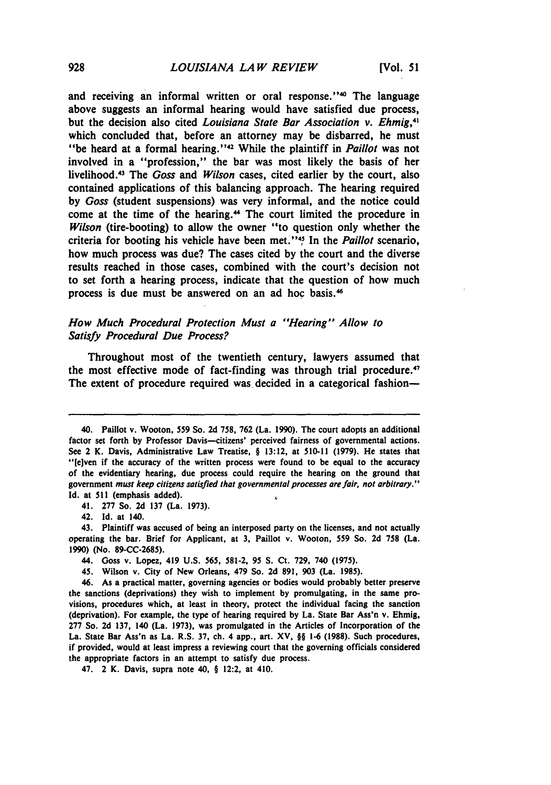and receiving an informal written or oral response."<sup>40</sup> The language above suggests an informal hearing would have satisfied due process, but the decision also cited *Louisiana State Bar Association v. Ehmig,4 <sup>1</sup>* which concluded that, before an attorney may be disbarred, he must "be heard at a formal hearing. **"42** While the plaintiff in *Paillot* was not involved in a "profession," the bar was most likely the basis of her livelihood.<sup>43</sup> The *Goss* and *Wilson* cases, cited earlier by the court, also contained applications of this balancing approach. The hearing required **by** *Goss* (student suspensions) was very informal, and the notice could come at the time of the hearing.<sup>44</sup> The court limited the procedure in *Wilson* (tire-booting) to allow the owner "to question only whether the criteria for booting his vehicle have been met."'45 In the *Paillot* scenario, how much process was due? The cases cited **by** the court and the diverse results reached in those cases, combined with the court's decision not to set forth a hearing process, indicate that the question of how much process is due must be answered on an ad hoc basis.<sup>46</sup>

# *How Much Procedural Protection Must a "Hearing" Allow to Satisfy Procedural Due Process?*

Throughout most of the twentieth century, lawyers assumed that the most effective mode of fact-finding was through trial procedure. $\mathbf{F}$ The extent of procedure required was decided in a categorical fashion-

<sup>40.</sup> Paillot v. Wooton, **559** So. **2d 758, 762** (La. **1990).** The court adopts an additional factor set forth by Professor Davis-citizens' perceived fairness of governmental actions. See 2 K. Davis, Administrative Law Treatise, § **13:12,** at **510-11 (1979).** He states that "[e]ven if the accuracy of the written process were found to be equal to the accuracy of the evidentiary hearing, due process could require the hearing on the ground that government must *keep citizens satisfied* that governmental processes are fair, *not arbitrary."* **Id.** at **511** (emphasis added).  $\epsilon$ 

<sup>41.</sup> **277** So. **2d 137** (La. **1973).**

<sup>42.</sup> Id. at 140.

<sup>43.</sup> Plaintiff was accused of being an interposed party on the licenses, and not actually operating the bar. Brief for Applicant, at **3,** Paillot v. Wooton, **559** So. **2d 758** (La. **1990)** (No. **89-CC-2685).**

<sup>44.</sup> Goss v. Lopez, 419 **U.S. 565, 581-2, 95 S.** Ct. **729,** 740 **(1975).**

<sup>45.</sup> Wilson v. City of New Orleans, 479 So. **2d 891, 903** (La. **1985).**

<sup>46.</sup> As a practical matter, governing agencies or bodies would probably better preserve the sanctions (deprivations) they wish to implement **by** promulgating, in the same provisions, procedures which, at least in theory, protect the individual facing the sanction (deprivation). For example, the type of hearing required **by** La. State Bar Ass'n v. Ehmig, **277** So. **2d 137,** 140 (La. **1973),** was promulgated in the Articles of Incorporation of the La. State Bar Ass'n as La. R.S. **37,** ch. 4 app., art. XV, §§ **1-6 (1988).** Such procedures, if provided, would at least impress a reviewing court that the governing officials considered the appropriate factors in an attempt to satisfy due process.

<sup>47. 2</sup> K. Davis, supra note **40,** § 12:2, at 410.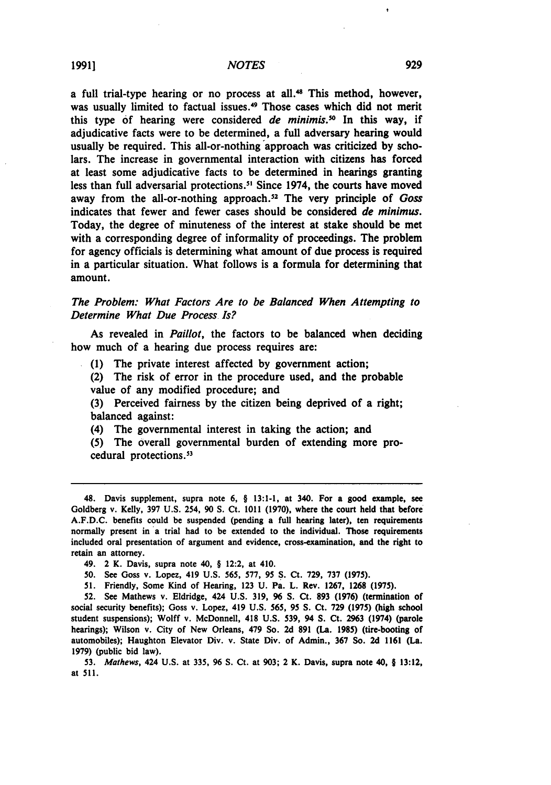a full trial-type hearing or no process at all.<sup>48</sup> This method, however, was usually limited to factual issues.<sup>49</sup> Those cases which did not merit this type of hearing were considered *de minimis*.<sup>50</sup> In this way, if adjudicative facts were to be determined, a full adversary hearing would usually be required. This all-or-nothing approach was criticized **by** scholars. The increase in governmental interaction with citizens has forced at least some adjudicative facts to be determined in hearings granting less than full adversarial protections.<sup>51</sup> Since 1974, the courts have moved away from the all-or-nothing approach.<sup>52</sup> The very principle of *Goss* indicates that fewer and fewer cases should be considered *de* minimus. Today, the degree of minuteness of the interest at stake should be met with a corresponding degree of informality of proceedings. The problem for agency officials is determining what amount of due process is required in a particular situation. What follows is a formula for determining that amount.

# *The Problem: What Factors Are to be Balanced When Attempting to Determine What Due Process Is?*

As revealed in *Paillot,* the factors to be balanced when deciding how much of a hearing due process requires are:

**(1)** The private interest affected **by** government action;

(2) The risk of error in the procedure used, and the probable value of any modified procedure; and

**(3)** Perceived fairness **by** the citizen being deprived of a right; balanced against:

(4) The governmental interest in taking the action; and

**(5)** The overall governmental burden of extending more procedural protections.53

**50.** See Goss v. Lopez, 419 **U.S. 565, 577, 95 S.** Ct. **729, 737 (1975).**

**52.** See Mathews v. Eldridge, 424 **U.S. 319, 96 S.** Ct. **893 (1976)** (termination of social security benefits); Goss v. Lopez, 419 **U.S. 565, 95 S.** Ct. **729 (1975)** (high school student suspensions); Wolff v. McDonnell, 418 **U.S. 539,** 94 **S.** Ct. **2963** (1974) (parole hearings); Wilson v. City of New Orleans, 479 So. **2d 891** (La. **1985)** (tire-booting of automobiles); Haughton Elevator Div. v. State Div. of Admin., **367** So. **2d 1161** (La. **1979)** (public bid law).

**53.** Mathews, 424 **U.S.** at **335, 96 S.** Ct. at **903;** 2 K. Davis, supra note 40, § **13:12,** at **511.**

<sup>48.</sup> Davis supplement, supra note **6,** § **13:1-1,** at 340. For a good example, see Goldberg v. Kelly, **397 U.S.** 254, **90 S.** Ct. **1011 (1970),** where the court held that before **A.F.D.C.** benefits could be suspended (pending a full hearing later), ten requirements normally present in a trial had to be extended to the individual. Those requirements included oral presentation of argument and evidence, cross-examination, and the right to retain an attorney.

<sup>49. 2</sup> K. Davis, supra note 40, § 12:2, at 410.

**<sup>51.</sup>** Friendly, Some Kind of Hearing, **123 U.** Pa. L. Rev. **1267, 1268 (1975).**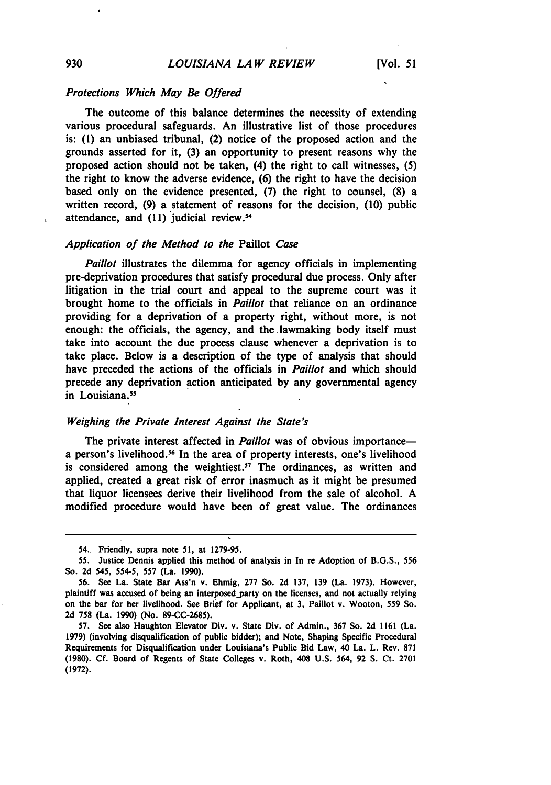# Protections Which May Be Offered

The outcome of this balance determines the necessity of extending various procedural safeguards. An illustrative list of those procedures is: **(1)** an unbiased tribunal, (2) notice of the proposed action and the grounds asserted for it, **(3)** an opportunity to present reasons why the proposed action should not be taken, (4) the right to call witnesses, **(5)** the right to know the adverse evidence, **(6)** the right to have the decision based only on the evidence presented, **(7)** the right to counsel, **(8)** a written record, **(9)** a statement of reasons for the decision, **(10)** public attendance, and **(11)** judicial review. <sup>4</sup>

#### Application of the Method to the Paillot Case

Paillot illustrates the dilemma for agency officials in implementing pre-deprivation procedures that satisfy procedural due process. Only after litigation in the trial court and appeal to the supreme court was it brought home to the officials in *Paillot* that reliance on an ordinance providing for a deprivation of a property right, without more, is not enough: the officials, the agency, and the lawmaking body itself must take into account the due process clause whenever a deprivation is to take place. Below is a description of the type of analysis that should have preceded the actions of the officials in *Paillot* and which should precede any deprivation action anticipated by any governmental agency in Louisiana.<sup>55</sup>

#### Weighing the Private Interest Against the State's

The private interest affected in *Paillot* was of obvious importancea person's livelihood.<sup>56</sup> In the area of property interests, one's livelihood is considered among the weightiest.<sup>57</sup> The ordinances, as written and applied, created a great risk of error inasmuch as it might be presumed that liquor licensees derive their livelihood from the sale of alcohol. A modified procedure would have been of great value. The ordinances

 $\mathbf{L}$ 

<sup>54..</sup> Friendly, supra note 51, at 1279-95.

<sup>55.</sup> Justice Dennis applied this method of analysis in In re Adoption of B.G.S., 556 So. **2d** 545, 554-5, **557** (La. **1990).**

**<sup>56.</sup>** See La. State Bar Ass'n v. Ehmig, **277** So. **2d 137, 139** (La. **1973).** However, plaintiff was accused of being an interposed party on the licenses, and not actually relying on the bar for her livelihood. See Brief for Applicant, at **3,** Paillot v. Wooton, **559** So. **2d 758** (La. **1990)** (No. **89-CC-2685).**

**<sup>57.</sup>** See also Haughton Elevator Div. v. State Div. of Admin., **367** So. **2d 1161** (La. **1979)** (involving disqualification of public bidder); and Note, Shaping Specific Procedural Requirements for Disqualification under Louisiana's Public Bid Law, 40 La. L. Rev. **871 (1980). Cf.** Board of Regents of State Colleges v. Roth, 408 **U.S.** 564, **92 S.** Ct. **2701 (1972).**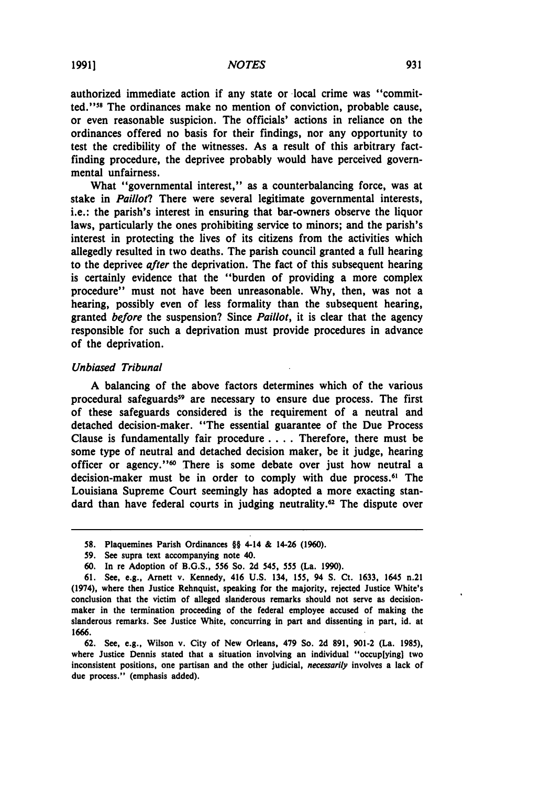authorized immediate action if any state or local crime was "committed.""8 The ordinances make no mention of conviction, probable cause, or even reasonable suspicion. The officials' actions in reliance on the ordinances offered no basis for their findings, nor any opportunity to test the credibility of the witnesses. As a result of this arbitrary factfinding procedure, the deprivee probably would have perceived governmental unfairness.

What "governmental interest," as a counterbalancing force, was at stake in *Paillot?* There were several legitimate governmental interests, i.e.: the parish's interest in ensuring that bar-owners observe the liquor laws, particularly the ones prohibiting service to minors; and the parish's interest in protecting the lives of its citizens from the activities which allegedly resulted in two deaths. The parish council granted a full hearing to the deprivee *after* the deprivation. The fact of this subsequent hearing is certainly evidence that the "burden of providing a more complex procedure" must not have been unreasonable. **Why,** then, was not a hearing, possibly even of less formality than the subsequent hearing, granted *before* the suspension? Since *Paillot,* it is clear that the agency responsible for such a deprivation must provide procedures in advance of the deprivation.

## *Unbiased Tribunal*

**A** balancing of the above factors determines which of the various procedural safeguards<sup>59</sup> are necessary to ensure due process. The first of these safeguards considered is the requirement of a neutral and detached decision-maker. "The essential guarantee of the Due Process Clause is fundamentally fair procedure .... Therefore, there must be some type of neutral and detached decision maker, be it judge, hearing officer or agency."<sup>60</sup> There is some debate over just how neutral a decision-maker must be in order to comply with due process.<sup>61</sup> The Louisiana Supreme Court seemingly has adopted a more exacting standard than have federal courts in judging neutrality.62 The dispute over

**<sup>58.</sup>** Plaquemines Parish Ordinances §§ 4-14 **&** 14-26 **(1960).**

**<sup>59.</sup>** See supra text accompanying note 40.

**<sup>60.</sup>** In re Adoption of **B.G.S., 556** So. **2d** 545, **555** (La. **1990).**

**<sup>61.</sup>** See, e.g., Arnett v. Kennedy, 416 **U.S.** 134, **155,** 94 **S.** Ct. **1633,** 1645 n.21 (1974), where then Justice Rehnquist, speaking for the majority, rejected Justice White's conclusion that the victim of alleged slanderous remarks should not serve as decisionmaker in the termination proceeding of the federal employee accused of making the slanderous remarks. See Justice White, concurring in part and dissenting in part, id. at **1666.**

**<sup>62.</sup>** See, e.g., Wilson v. City of New Orleans, 479 So. **2d 891, 901-2** (La. **1985),** where Justice Dennis stated that a situation involving an individual "occup[ying] two inconsistent positions, one partisan and the other judicial, necessarily involves a lack of due process." (emphasis added).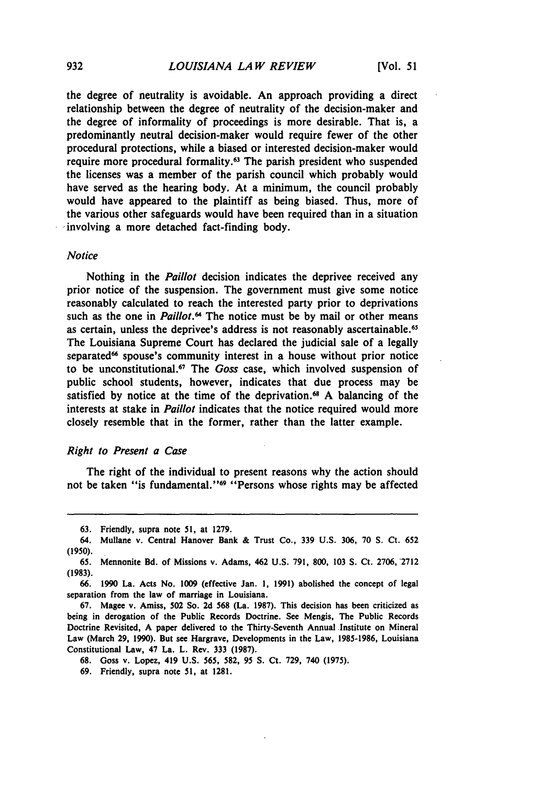the degree of neutrality is avoidable. An approach providing a direct relationship between the degree of neutrality of the decision-maker and the degree of informality of proceedings is more desirable. That is, a predominantly neutral decision-maker would require fewer of the other procedural protections, while a biased or interested decision-maker would require more procedural formality.63 The parish president who suspended the licenses was a member of the parish council which probably would have served as the hearing body. At a minimum, the council probably would have appeared to the plaintiff as being biased. Thus, more of the various other safeguards would have been required than in a situation involving a more detached fact-finding body.

#### *Notice*

Nothing in the *Paillot* decision indicates the deprivee received any prior notice of the suspension. The government must give some notice reasonably calculated to reach the interested party prior to deprivations such as the one in *Paillot."* The notice must be **by** mail or other means as certain, unless the deprivee's address is not reasonably ascertainable.<sup>65</sup> The Louisiana Supreme Court has declared the judicial sale of a legally separated<sup>66</sup> spouse's community interest in a house without prior notice to be unconstitutional. 7 The *Goss* case, which involved suspension of public school students, however, indicates that due process may be satisfied by notice at the time of the deprivation.<sup>68</sup> A balancing of the interests at stake in *Paillot* indicates that the notice required would more closely resemble that in the former, rather than the latter example.

#### *Right to Present a Case*

The right of the individual to present reasons why the action should not be taken "is fundamental."<sup>69</sup> "Persons whose rights may be affected

**<sup>63.</sup>** Friendly, supra note 51, at 1279.

<sup>64.</sup> Mullane v. Central Hanover Bank & Trust Co., **339** U.S. 306, 70 S. *Ct.* **652 (1950).**

<sup>65.</sup> Mennonite Bd. of Missions v. Adams, 462 **U.S. 791, 800, 103 S.** Ct. **2706, 2712 (1983).**

**<sup>66. 1990</sup>** La. Acts No. **1009** (effective Jan. **1, 1991)** abolished the concept of legal separation from the law of marriage in Louisiana.

**<sup>67.</sup>** Magee v. Amiss, **502** So. **2d 568** (La. **1987).** This decision has been criticized as being in derogation of the Public Records Doctrine. See Mengis, The Public Records Doctrine Revisited, **A** paper delivered to the Thirty-Seventh Annual Institute on Mineral Law (March **29, 1990).** But see Hargrave, Developments in the Law, **1985-1986,** Louisiana Constitutional Law, 47 La. L. Rev. 333 **(1987).**

**<sup>68.</sup>** Goss v. Lopez, 419 **U.S.** 565, **582, 95 S.** Ct. **729,** 740 **(1975).**

**<sup>69.</sup>** Friendly, supra note **51,** at **1281.**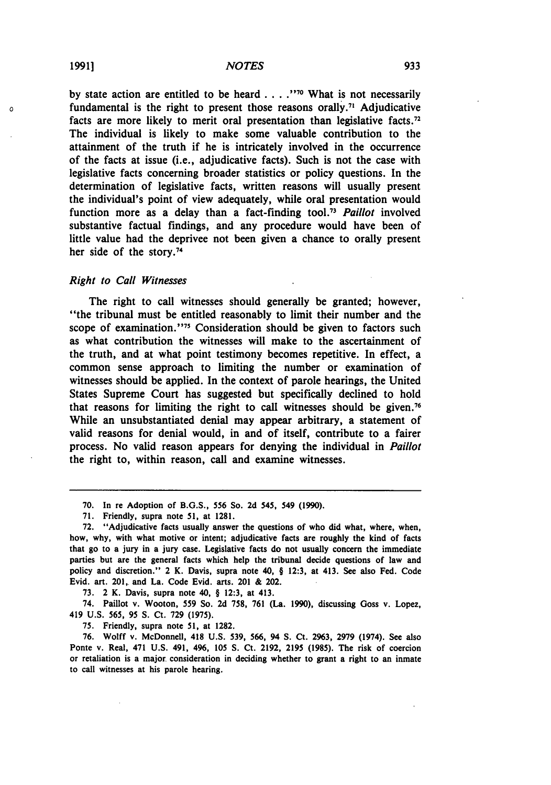by state action are entitled to be heard . . . . "<sup>70</sup> What is not necessarily fundamental is the right to present those reasons orally." Adjudicative facts are more likely to merit oral presentation than legislative facts.<sup>72</sup> The individual is likely to make some valuable contribution to the attainment of the truth if he is intricately involved in the occurrence of the facts at issue (i.e., adjudicative facts). Such is not the case with legislative facts concerning broader statistics or policy questions. In the determination of legislative facts, written reasons will usually present the individual's point of view adequately, while oral presentation would function more as a delay than a fact-finding tool."1 *Paillot* involved substantive factual findings, and any procedure would have been of little value had the deprivee not been given a chance to orally present her side of the story.<sup>74</sup>

#### *Right to Call Witnesses*

The right to call witnesses should generally be granted; however, "the tribunal must be entitled reasonably to limit their number and the scope of examination."<sup>75</sup> Consideration should be given to factors such as what contribution the witnesses will make to the ascertainment of the truth, and at what point testimony becomes repetitive. In effect, a common sense approach to limiting the number or examination of witnesses should be applied. In the context of parole hearings, the United States Supreme Court has suggested but specifically declined to hold that reasons for limiting the right to call witnesses should be given.<sup>76</sup> While an unsubstantiated denial may appear arbitrary, a statement of valid reasons for denial would, in and of itself, contribute to a fairer process. No valid reason appears for denying the individual in *Paillot* the right to, within reason, call and examine witnesses.

**73.** 2 K. Davis, supra note 40, § **12:3,** at 413.

74. Paillot v. Wooton, **559** So. **2d 758, 761** (La. **1990),** discussing Goss v. Lopez, 419 **U.S. 565, 95 S.** Ct. **729 (1975).**

**75.** Friendly, supra note **51,** at **1282.**

**76.** Wolff v. McDonnell, 418 **U.S. 539, 566,** 94 **S.** Ct. **2963, 2979** (1974). See also Ponte v. Real, 471 **U.S.** 491, 496, **105 S.** Ct. **2192, 2195 (1985).** The risk of coercion or retaliation is a major consideration in deciding whether to grant a right to an inmate to call witnesses at his parole hearing.

 $\Omega$ 

**<sup>70.</sup>** In re Adoption of **B.G.S., 556** So. **2d 545,** 549 **(1990).**

**<sup>71.</sup>** Friendly, supra note **51,** at **1281.**

**<sup>72.</sup>** "Adjudicative facts usually answer the questions of who did what, where, when, how, why, with what motive or intent; adjudicative facts are roughly the kind of facts that go to a jury in a jury case. Legislative facts do not usually concern the immediate parties but are the general facts which help the tribunal decide questions of law and policy and discretion." 2 K. Davis, supra note 40, § **12:3,** at 413. See also Fed. Code Evid. art. 201, and La. Code Evid. arts. 201 **&** 202.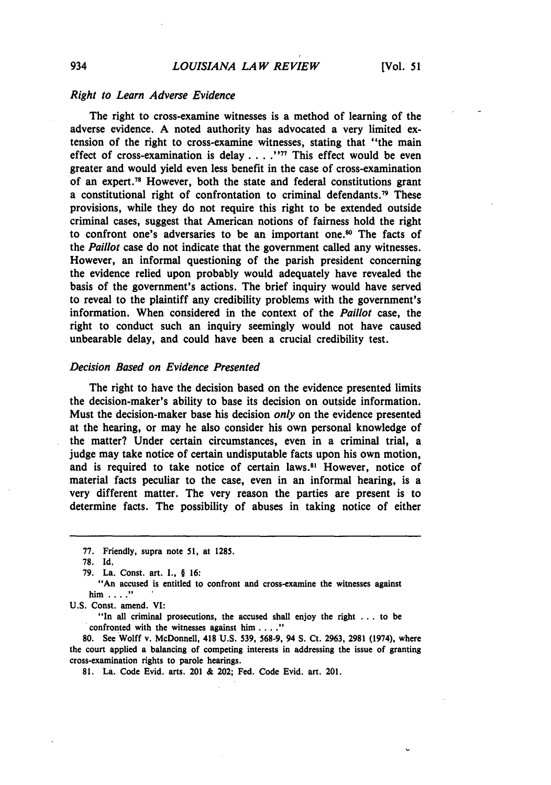#### *Right to Learn Adverse Evidence*

The right to cross-examine witnesses is a method of learning of the adverse evidence. **A** noted authority has advocated a very limited extension of the right to cross-examine witnesses, stating that "the main effect of cross-examination is delay .**. . . 77** This effect would be even greater and would yield even less benefit in the case of cross-examination of an expert.<sup>78</sup> However, both the state and federal constitutions grant a constitutional right of confrontation to criminal defendants.<sup>79</sup> These provisions, while they do not require this right to be extended outside criminal cases, suggest that American notions of fairness hold the right to confront one's adversaries to be an important one.<sup>80</sup> The facts of the *Paillot* case do not indicate that the government called any witnesses. However, an informal questioning of the parish president concerning the evidence relied upon probably would adequately have revealed the basis of the government's actions. The brief inquiry would have served to reveal to the plaintiff any credibility problems with the government's information. When considered in the context of the *Paillot* case, the right to conduct such an inquiry seemingly would not have caused unbearable delay, and could have been a crucial credibility test.

# *Decision Based on Evidence Presented*

The right to have the decision based on the evidence presented limits the decision-maker's ability to base its decision on outside information. Must the decision-maker base his decision *only* on the evidence presented at the hearing, or may he also consider his own personal knowledge of the matter? Under certain circumstances, even in a criminal trial, a judge may take notice of certain undisputable facts upon his own motion, and is required to take notice of certain laws."' However, notice of material facts peculiar to the case, even in an informal hearing, is a very different matter. The very reason the parties are present is to determine facts. The possibility of abuses in taking notice of either

"An accused is entitled to confront and cross-examine the witnesses against him ...... **<sup>I</sup>**

"In all criminal prosecutions, the accused shall enjoy the right **...** to be confronted with the witnesses against him . **.. ."**

**80.** See Wolff v. McDonnell, 418 **U.S. 539, 568-9,** 94 **S.** Ct. **2963, 2981** (1974), where the court applied a balancing of competing interests in addressing the issue of granting cross-examination rights to parole hearings.

**81.** La. Code Evid. arts. 201 & 202; Fed. Code Evid. art. 201.

**<sup>77.</sup>** Friendly, supra note **51,** at **1285.**

**<sup>78.</sup> Id.**

**<sup>79.</sup>** La. Const. art. **I.,** § **16:**

**U.S.** Const. amend. VI: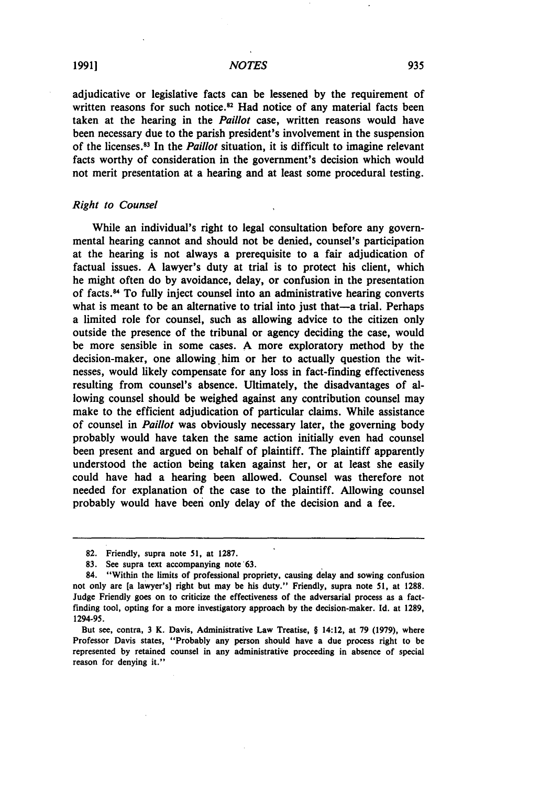adjudicative or legislative facts can be lessened **by** the requirement of written reasons for such notice.<sup>82</sup> Had notice of any material facts been taken at the hearing in the *Paillot* case, written reasons would have been necessary due to the parish president's involvement in the suspension of the licenses. s3 In the *Paillot* situation, it is difficult to imagine relevant facts worthy of consideration in the government's decision which would not merit presentation at a hearing and at least some procedural testing.

#### *Right to Counsel*

While an individual's right to legal consultation before any governmental hearing cannot and should not be denied, counsel's participation at the hearing is not always a prerequisite to a fair adjudication of factual issues. A lawyer's duty at trial is to protect his client, which he might often do by avoidance, delay, or confusion in the presentation of facts.<sup>84</sup> To fully inject counsel into an administrative hearing converts what is meant to be an alternative to trial into just that—a trial. Perhaps a limited role for counsel, such as allowing advice to the citizen only outside the presence of the tribunal or agency deciding the case, would be more sensible in some cases. A more exploratory method by the decision-maker, one allowing him or her to actually question the witnesses, would likely compensate for any loss in fact-finding effectiveness resulting from counsel's absence. Ultimately, the disadvantages of allowing counsel should be weighed against any contribution counsel may make to the efficient adjudication of particular claims. While assistance of counsel in *Paillot* was obviously necessary later, the governing body probably would have taken the same action initially even had counsel been present and argued on behalf of plaintiff. The plaintiff apparently understood the action being taken against her, or at least she easily could have had a hearing been allowed. Counsel was therefore not needed for explanation of the case to the plaintiff. Allowing counsel probably would have been only delay of the decision and a fee.

<sup>82.</sup> Friendly, supra note 51, at 1287.

**<sup>83.</sup>** See supra text accompanying note '63.

<sup>84. &</sup>quot;Within the limits of professional propriety, causing delay and sowing confusion not only are [a lawyer's) right but may be his duty." Friendly, supra note **51,** at **1288.** Judge Friendly goes on to criticize the effectiveness of the adversarial process as a factfinding tool, opting for a more investigatory approach **by** the decision-maker. **Id.** at **1289,** 1294-95.

But see, contra, **3** K. Davis, Administrative Law Treatise, § 14:12, at **79 (1979),** where Professor Davis states, "Probably any person should have a due process right to be represented **by** retained counsel in any administrative proceeding in absence of special reason for denying it."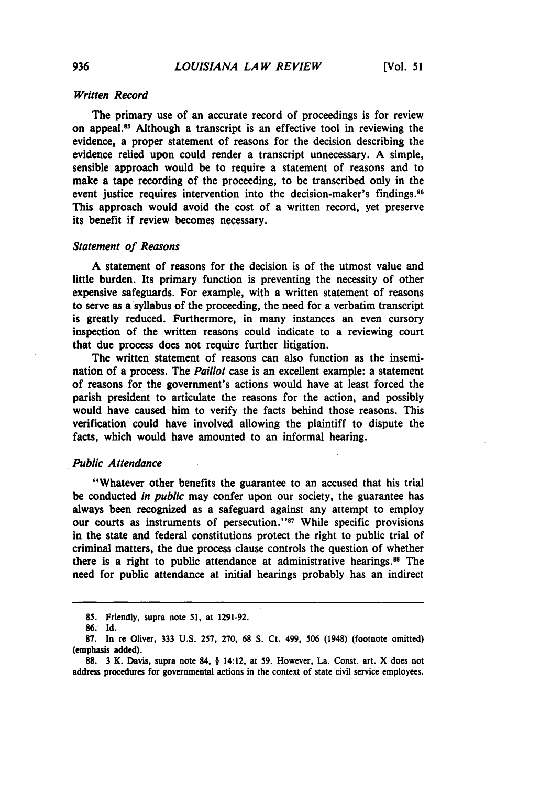# *Written Record*

The primary use of an accurate record of proceedings is for review on appeal. 5 Although a transcript is an effective tool in reviewing the evidence, a proper statement of reasons for the decision describing the evidence relied upon could render a transcript unnecessary. **A** simple, sensible approach would be to require a statement of reasons and to make a tape recording of the proceeding, to be transcribed only in the event justice requires intervention into the decision-maker's findings.<sup>86</sup> This approach would avoid the cost of a written record, yet preserve its benefit if review becomes necessary.

#### *Statement of Reasons*

**A** statement of reasons for the decision is of the utmost value and little burden. Its primary function is preventing the necessity of other expensive safeguards. For example, with a written statement of reasons to serve as a syllabus of the proceeding, the need for a verbatim transcript is greatly reduced. Furthermore, in many instances an even cursory inspection of the written reasons could indicate to a reviewing court that due process does not require further litigation.

The written statement of reasons can also function as the insemination of a process. The *Paillot* case is an excellent example: a statement of reasons for the government's actions would have at least forced the parish president to articulate the reasons for the action, and possibly would have caused him to verify the facts behind those reasons. This verification could have involved allowing the plaintiff to dispute the facts, which would have amounted to an informal hearing.

#### *Public Attendance*

"Whatever other benefits the guarantee to an accused that his trial be conducted *in public* may confer upon our society, the guarantee has always been recognized as a safeguard against any attempt to employ our courts as instruments of persecution."<sup>87</sup> While specific provisions in the state and federal constitutions protect the right to public trial of criminal matters, the due process clause controls the question of whether there is a right to public attendance at administrative hearings."8 The need for public attendance at initial hearings probably has an indirect

**<sup>85.</sup>** Friendly, supra note **51,** at **1291-92.**

**<sup>86.</sup> Id.**

**<sup>87.</sup>** In re Oliver, 333 **U.S. 257, 270, 68 S.** Ct. 499, **506** (1948) (footnote omitted) (emphasis added).

**<sup>88.</sup>** 3 K. Davis, supra note 84, § 14:12, at **59.** However, La. Const. art. X does not address procedures for governmental actions in the context of state civil service employees.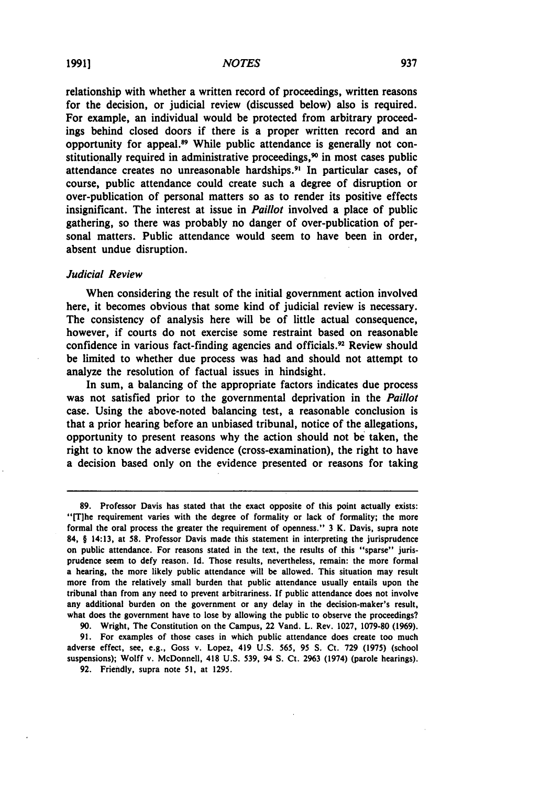relationship with whether a written record of proceedings, written reasons for the decision, or judicial review (discussed below) also is required. For example, an individual would be protected from arbitrary proceedings behind closed doors if there is a proper written record and an opportunity for appeal.<sup>89</sup> While public attendance is generally not constitutionally required in administrative proceedings,<sup>90</sup> in most cases public attendance creates no unreasonable hardships.<sup>91</sup> In particular cases, of course, public attendance could create such a degree of disruption or over-publication of personal matters so as to render its positive effects insignificant. The interest at issue in *Paillot* involved a place of public gathering, so there was probably no danger of over-publication of personal matters. Public attendance would seem to have been in order, absent undue disruption.

#### *Judicial Review*

When considering the result of the initial government action involved here, it becomes obvious that some kind of judicial review is necessary. The consistency of analysis here will be of little actual consequence, however, if courts do not exercise some restraint based on reasonable confidence in various fact-finding agencies and officials.<sup>92</sup> Review should be limited to whether due process was had and should not attempt to analyze the resolution of factual issues in hindsight.

In sum, a balancing of the appropriate factors indicates due process was not satisfied prior to the governmental deprivation in the *Paillot* case. Using the above-noted balancing test, a reasonable conclusion is that a prior hearing before an unbiased tribunal, notice of the allegations, opportunity to present reasons why the action should not be taken, the right to know the adverse evidence (cross-examination), the right to have a decision based only on the evidence presented or reasons for taking

**90.** Wright, The Constitution on the Campus, 22 Vand. L. Rev. **1027, 1079-80 (1969).**

**91.** For examples of those cases in which public attendance does create too much adverse effect, see, e.g., Goss v. Lopez, 419 **U.S. 565, 95 S.** Ct. **729 (1975)** (school suspensions); Wolff v. McDonnell, 418 **U.S. 539,** 94 **S.** Ct. **2963** (1974) (parole hearings).

**92.** Friendly, supra note **51,** at **1295.**

**<sup>89.</sup>** Professor Davis has stated that the exact opposite of this point actually exists: "[T]he requirement varies with the degree of formality or lack of formality; the more formal the oral process the greater the requirement of openness." **3** K. Davis, supra note 84, § 14:13, at **58.** Professor Davis made this statement in interpreting the jurisprudence on public attendance. For reasons stated in the text, the results of this "sparse" jurisprudence seem to defy reason. Id. Those results, nevertheless, remain: the more formal a hearing, the more likely public attendance will be allowed. This situation may result more from the relatively small burden that public attendance usually entails upon the tribunal than from any need to prevent arbitrariness. **If** public attendance does not involve any additional burden on the government or any delay in the decision-maker's result, what does the government have to lose **by** allowing the public to observe the proceedings?